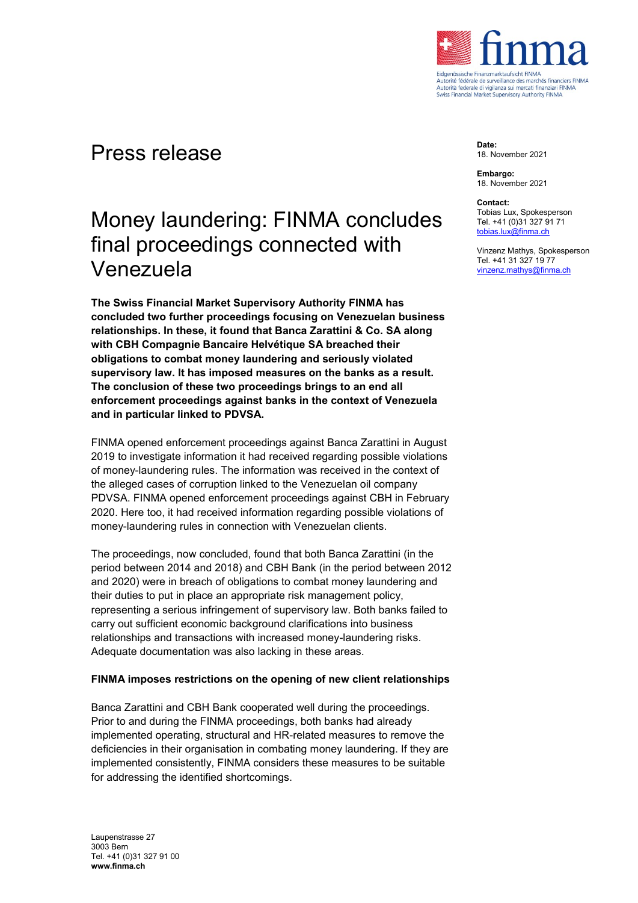

## Press release

## Money laundering: FINMA concludes final proceedings connected with Venezuela

**The Swiss Financial Market Supervisory Authority FINMA has concluded two further proceedings focusing on Venezuelan business relationships. In these, it found that Banca Zarattini & Co. SA along with CBH Compagnie Bancaire Helvétique SA breached their obligations to combat money laundering and seriously violated supervisory law. It has imposed measures on the banks as a result. The conclusion of these two proceedings brings to an end all enforcement proceedings against banks in the context of Venezuela and in particular linked to PDVSA.** 

FINMA opened enforcement proceedings against Banca Zarattini in August 2019 to investigate information it had received regarding possible violations of money-laundering rules. The information was received in the context of the alleged cases of corruption linked to the Venezuelan oil company PDVSA. FINMA opened enforcement proceedings against CBH in February 2020. Here too, it had received information regarding possible violations of money-laundering rules in connection with Venezuelan clients.

The proceedings, now concluded, found that both Banca Zarattini (in the period between 2014 and 2018) and CBH Bank (in the period between 2012 and 2020) were in breach of obligations to combat money laundering and their duties to put in place an appropriate risk management policy, representing a serious infringement of supervisory law. Both banks failed to carry out sufficient economic background clarifications into business relationships and transactions with increased money-laundering risks. Adequate documentation was also lacking in these areas.

## **FINMA imposes restrictions on the opening of new client relationships**

Banca Zarattini and CBH Bank cooperated well during the proceedings. Prior to and during the FINMA proceedings, both banks had already implemented operating, structural and HR-related measures to remove the deficiencies in their organisation in combating money laundering. If they are implemented consistently, FINMA considers these measures to be suitable for addressing the identified shortcomings.

**Date:** 18. November 2021

**Embargo:** 18. November 2021

**Contact:**

Tobias Lux, Spokesperson Tel. +41 (0)31 327 91 71 [tobias.lux@finma.ch](mailto:tobias.lux@finma.ch)

Vinzenz Mathys, Spokesperson Tel. +41 31 327 19 77 [vinzenz.mathys@finma.ch](mailto:vinzenz.mathys@finma.ch)